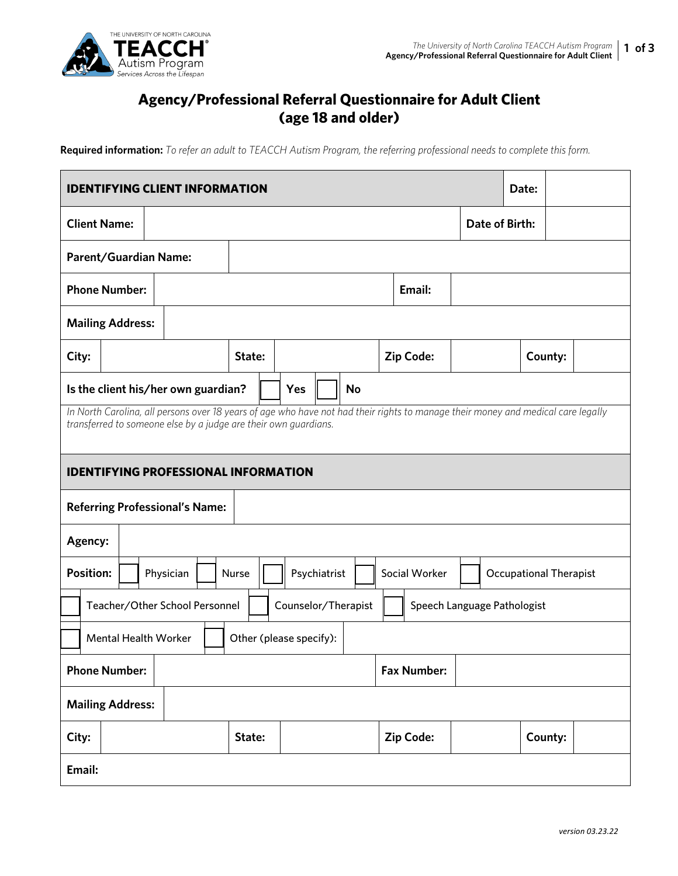

## **Agency/Professional Referral Questionnaire for Adult Client (age 18 and older)**

**Required information:** *To refer an adult to TEACCH Autism Program, the referring professional needs to complete this form.* 

| <b>IDENTIFYING CLIENT INFORMATION</b><br>Date:                                                                                                                                                      |                                                        |  |           |  |        |           |              |  |  |  |                |                               |  |         |  |
|-----------------------------------------------------------------------------------------------------------------------------------------------------------------------------------------------------|--------------------------------------------------------|--|-----------|--|--------|-----------|--------------|--|--|--|----------------|-------------------------------|--|---------|--|
| <b>Client Name:</b>                                                                                                                                                                                 |                                                        |  |           |  |        |           |              |  |  |  | Date of Birth: |                               |  |         |  |
| Parent/Guardian Name:                                                                                                                                                                               |                                                        |  |           |  |        |           |              |  |  |  |                |                               |  |         |  |
| <b>Phone Number:</b>                                                                                                                                                                                |                                                        |  | Email:    |  |        |           |              |  |  |  |                |                               |  |         |  |
| <b>Mailing Address:</b>                                                                                                                                                                             |                                                        |  |           |  |        |           |              |  |  |  |                |                               |  |         |  |
| City:                                                                                                                                                                                               |                                                        |  |           |  | State: |           |              |  |  |  | Zip Code:      |                               |  | County: |  |
| Is the client his/her own guardian?<br>Yes                                                                                                                                                          |                                                        |  |           |  |        | <b>No</b> |              |  |  |  |                |                               |  |         |  |
| In North Carolina, all persons over 18 years of age who have not had their rights to manage their money and medical care legally<br>transferred to someone else by a judge are their own guardians. |                                                        |  |           |  |        |           |              |  |  |  |                |                               |  |         |  |
| <b>IDENTIFYING PROFESSIONAL INFORMATION</b>                                                                                                                                                         |                                                        |  |           |  |        |           |              |  |  |  |                |                               |  |         |  |
| <b>Referring Professional's Name:</b>                                                                                                                                                               |                                                        |  |           |  |        |           |              |  |  |  |                |                               |  |         |  |
| Agency:                                                                                                                                                                                             |                                                        |  |           |  |        |           |              |  |  |  |                |                               |  |         |  |
| <b>Position:</b>                                                                                                                                                                                    |                                                        |  | Physician |  | Nurse  |           | Psychiatrist |  |  |  | Social Worker  | <b>Occupational Therapist</b> |  |         |  |
| Counselor/Therapist<br>Teacher/Other School Personnel<br>Speech Language Pathologist                                                                                                                |                                                        |  |           |  |        |           |              |  |  |  |                |                               |  |         |  |
|                                                                                                                                                                                                     | <b>Mental Health Worker</b><br>Other (please specify): |  |           |  |        |           |              |  |  |  |                |                               |  |         |  |
| <b>Phone Number:</b><br><b>Fax Number:</b>                                                                                                                                                          |                                                        |  |           |  |        |           |              |  |  |  |                |                               |  |         |  |
| <b>Mailing Address:</b>                                                                                                                                                                             |                                                        |  |           |  |        |           |              |  |  |  |                |                               |  |         |  |
| City:                                                                                                                                                                                               |                                                        |  |           |  | State: |           |              |  |  |  | Zip Code:      |                               |  | County: |  |
| Email:                                                                                                                                                                                              |                                                        |  |           |  |        |           |              |  |  |  |                |                               |  |         |  |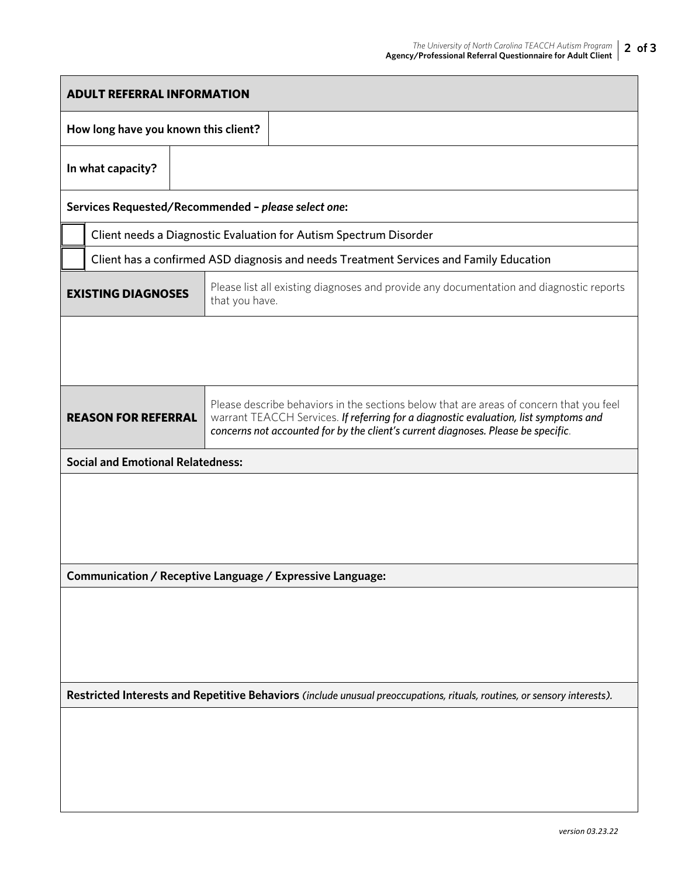| <b>ADULT REFERRAL INFORMATION</b>                                                                                        |                                                                                        |  |                                                                                                                                                                                                                                                                      |  |  |  |  |  |  |  |
|--------------------------------------------------------------------------------------------------------------------------|----------------------------------------------------------------------------------------|--|----------------------------------------------------------------------------------------------------------------------------------------------------------------------------------------------------------------------------------------------------------------------|--|--|--|--|--|--|--|
| How long have you known this client?                                                                                     |                                                                                        |  |                                                                                                                                                                                                                                                                      |  |  |  |  |  |  |  |
|                                                                                                                          | In what capacity?                                                                      |  |                                                                                                                                                                                                                                                                      |  |  |  |  |  |  |  |
|                                                                                                                          |                                                                                        |  | Services Requested/Recommended - please select one:                                                                                                                                                                                                                  |  |  |  |  |  |  |  |
| Client needs a Diagnostic Evaluation for Autism Spectrum Disorder                                                        |                                                                                        |  |                                                                                                                                                                                                                                                                      |  |  |  |  |  |  |  |
|                                                                                                                          | Client has a confirmed ASD diagnosis and needs Treatment Services and Family Education |  |                                                                                                                                                                                                                                                                      |  |  |  |  |  |  |  |
| <b>EXISTING DIAGNOSES</b>                                                                                                |                                                                                        |  | Please list all existing diagnoses and provide any documentation and diagnostic reports<br>that you have.                                                                                                                                                            |  |  |  |  |  |  |  |
|                                                                                                                          |                                                                                        |  |                                                                                                                                                                                                                                                                      |  |  |  |  |  |  |  |
|                                                                                                                          |                                                                                        |  |                                                                                                                                                                                                                                                                      |  |  |  |  |  |  |  |
| <b>REASON FOR REFERRAL</b>                                                                                               |                                                                                        |  | Please describe behaviors in the sections below that are areas of concern that you feel<br>warrant TEACCH Services. If referring for a diagnostic evaluation, list symptoms and<br>concerns not accounted for by the client's current diagnoses. Please be specific. |  |  |  |  |  |  |  |
|                                                                                                                          | <b>Social and Emotional Relatedness:</b>                                               |  |                                                                                                                                                                                                                                                                      |  |  |  |  |  |  |  |
|                                                                                                                          |                                                                                        |  |                                                                                                                                                                                                                                                                      |  |  |  |  |  |  |  |
|                                                                                                                          |                                                                                        |  |                                                                                                                                                                                                                                                                      |  |  |  |  |  |  |  |
|                                                                                                                          |                                                                                        |  |                                                                                                                                                                                                                                                                      |  |  |  |  |  |  |  |
|                                                                                                                          |                                                                                        |  | Communication / Receptive Language / Expressive Language:                                                                                                                                                                                                            |  |  |  |  |  |  |  |
|                                                                                                                          |                                                                                        |  |                                                                                                                                                                                                                                                                      |  |  |  |  |  |  |  |
|                                                                                                                          |                                                                                        |  |                                                                                                                                                                                                                                                                      |  |  |  |  |  |  |  |
|                                                                                                                          |                                                                                        |  |                                                                                                                                                                                                                                                                      |  |  |  |  |  |  |  |
|                                                                                                                          |                                                                                        |  |                                                                                                                                                                                                                                                                      |  |  |  |  |  |  |  |
| Restricted Interests and Repetitive Behaviors (include unusual preoccupations, rituals, routines, or sensory interests). |                                                                                        |  |                                                                                                                                                                                                                                                                      |  |  |  |  |  |  |  |
|                                                                                                                          |                                                                                        |  |                                                                                                                                                                                                                                                                      |  |  |  |  |  |  |  |
|                                                                                                                          |                                                                                        |  |                                                                                                                                                                                                                                                                      |  |  |  |  |  |  |  |
|                                                                                                                          |                                                                                        |  |                                                                                                                                                                                                                                                                      |  |  |  |  |  |  |  |
|                                                                                                                          |                                                                                        |  |                                                                                                                                                                                                                                                                      |  |  |  |  |  |  |  |